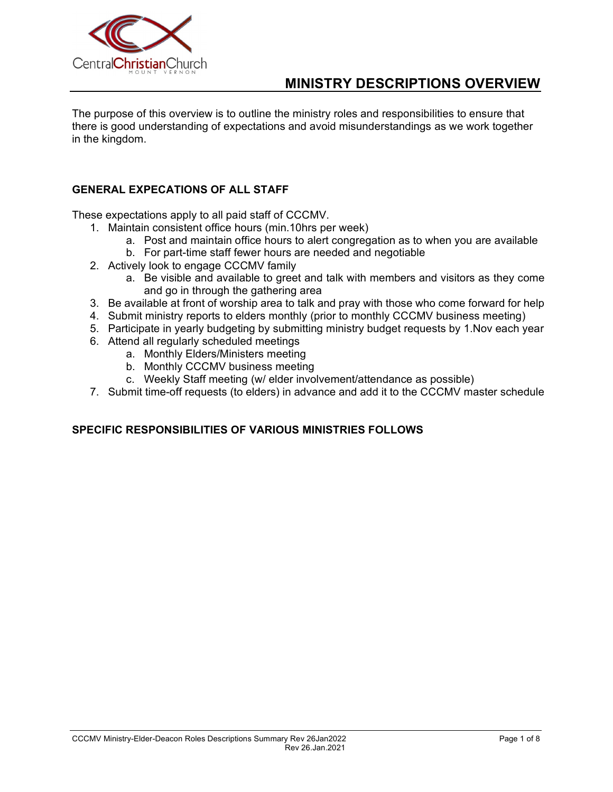

The purpose of this overview is to outline the ministry roles and responsibilities to ensure that there is good understanding of expectations and avoid misunderstandings as we work together in the kingdom.

## GENERAL EXPECATIONS OF ALL STAFF

These expectations apply to all paid staff of CCCMV.

- 1. Maintain consistent office hours (min.10hrs per week)
	- a. Post and maintain office hours to alert congregation as to when you are available
	- b. For part-time staff fewer hours are needed and negotiable
- 2. Actively look to engage CCCMV family
	- a. Be visible and available to greet and talk with members and visitors as they come and go in through the gathering area
- 3. Be available at front of worship area to talk and pray with those who come forward for help
- 4. Submit ministry reports to elders monthly (prior to monthly CCCMV business meeting)
- 5. Participate in yearly budgeting by submitting ministry budget requests by 1.Nov each year
- 6. Attend all regularly scheduled meetings
	- a. Monthly Elders/Ministers meeting
		- b. Monthly CCCMV business meeting
	- c. Weekly Staff meeting (w/ elder involvement/attendance as possible)
- 7. Submit time-off requests (to elders) in advance and add it to the CCCMV master schedule

## SPECIFIC RESPONSIBILITIES OF VARIOUS MINISTRIES FOLLOWS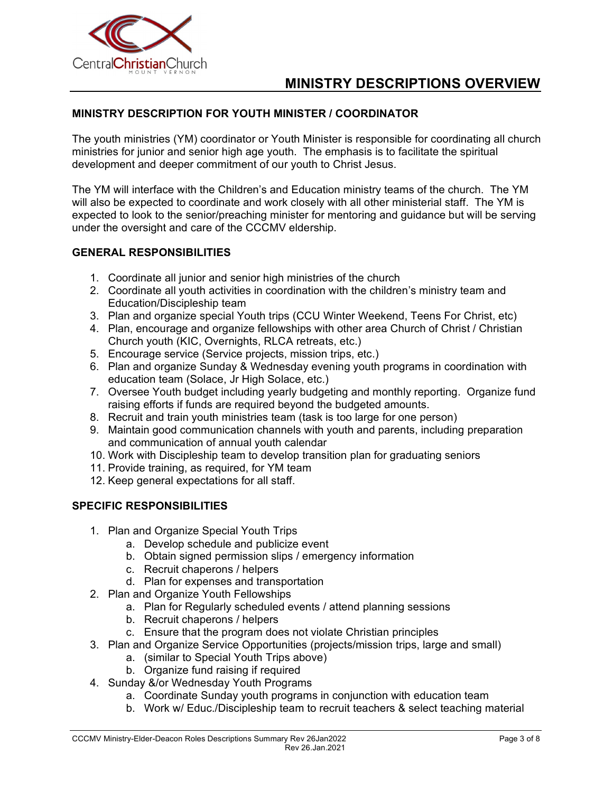

#### MINISTRY DESCRIPTION FOR YOUTH MINISTER / COORDINATOR

The youth ministries (YM) coordinator or Youth Minister is responsible for coordinating all church ministries for junior and senior high age youth. The emphasis is to facilitate the spiritual development and deeper commitment of our youth to Christ Jesus.

The YM will interface with the Children's and Education ministry teams of the church. The YM will also be expected to coordinate and work closely with all other ministerial staff. The YM is expected to look to the senior/preaching minister for mentoring and guidance but will be serving under the oversight and care of the CCCMV eldership.

#### GENERAL RESPONSIBILITIES

- 1. Coordinate all junior and senior high ministries of the church
- 2. Coordinate all youth activities in coordination with the children's ministry team and Education/Discipleship team
- 3. Plan and organize special Youth trips (CCU Winter Weekend, Teens For Christ, etc)
- 4. Plan, encourage and organize fellowships with other area Church of Christ / Christian Church youth (KIC, Overnights, RLCA retreats, etc.)
- 5. Encourage service (Service projects, mission trips, etc.)
- 6. Plan and organize Sunday & Wednesday evening youth programs in coordination with education team (Solace, Jr High Solace, etc.)
- 7. Oversee Youth budget including yearly budgeting and monthly reporting. Organize fund raising efforts if funds are required beyond the budgeted amounts.
- 8. Recruit and train youth ministries team (task is too large for one person)
- 9. Maintain good communication channels with youth and parents, including preparation and communication of annual youth calendar
- 10. Work with Discipleship team to develop transition plan for graduating seniors
- 11. Provide training, as required, for YM team
- 12. Keep general expectations for all staff.

## SPECIFIC RESPONSIBILITIES

- 1. Plan and Organize Special Youth Trips
	- a. Develop schedule and publicize event
	- b. Obtain signed permission slips / emergency information
	- c. Recruit chaperons / helpers
	- d. Plan for expenses and transportation
- 2. Plan and Organize Youth Fellowships
	- a. Plan for Regularly scheduled events / attend planning sessions
	- b. Recruit chaperons / helpers
	- c. Ensure that the program does not violate Christian principles
- 3. Plan and Organize Service Opportunities (projects/mission trips, large and small)
	- a. (similar to Special Youth Trips above)
	- b. Organize fund raising if required
- 4. Sunday &/or Wednesday Youth Programs
	- a. Coordinate Sunday youth programs in conjunction with education team
	- b. Work w/ Educ./Discipleship team to recruit teachers & select teaching material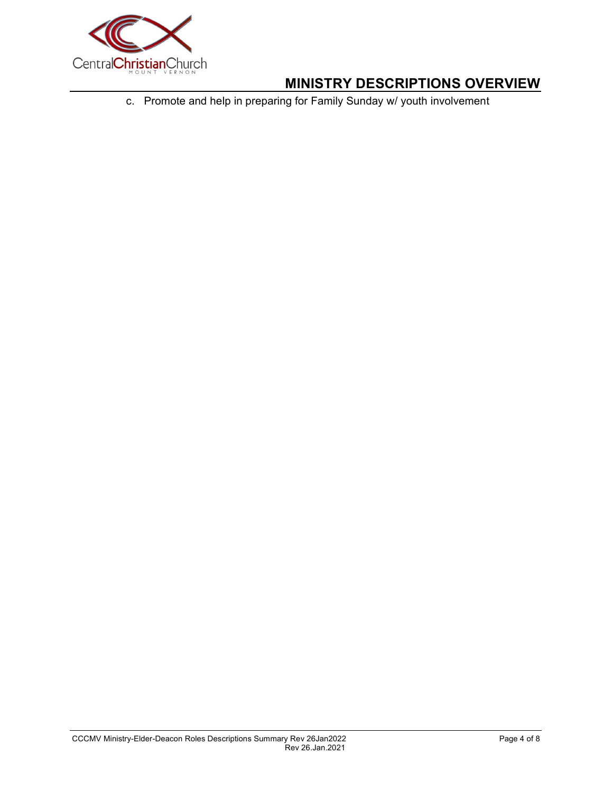

c. Promote and help in preparing for Family Sunday w/ youth involvement